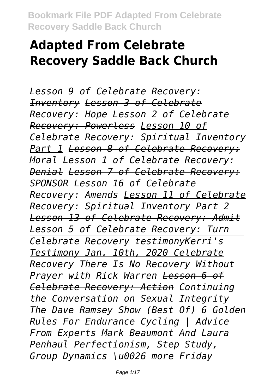# **Adapted From Celebrate Recovery Saddle Back Church**

*Lesson 9 of Celebrate Recovery: Inventory Lesson 3 of Celebrate Recovery: Hope Lesson 2 of Celebrate Recovery: Powerless Lesson 10 of Celebrate Recovery: Spiritual Inventory Part 1 Lesson 8 of Celebrate Recovery: Moral Lesson 1 of Celebrate Recovery: Denial Lesson 7 of Celebrate Recovery: SPONSOR Lesson 16 of Celebrate Recovery: Amends Lesson 11 of Celebrate Recovery: Spiritual Inventory Part 2 Lesson 13 of Celebrate Recovery: Admit Lesson 5 of Celebrate Recovery: Turn Celebrate Recovery testimonyKerri's Testimony Jan. 10th, 2020 Celebrate Recovery There Is No Recovery Without Prayer with Rick Warren Lesson 6 of Celebrate Recovery: Action Continuing the Conversation on Sexual Integrity The Dave Ramsey Show (Best Of) 6 Golden Rules For Endurance Cycling | Advice From Experts Mark Beaumont And Laura Penhaul Perfectionism, Step Study, Group Dynamics \u0026 more Friday*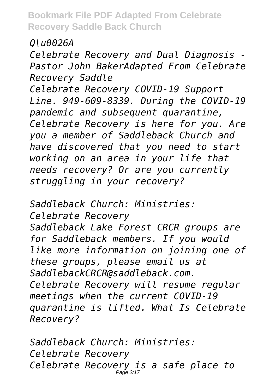*Q\u0026A*

*Celebrate Recovery and Dual Diagnosis - Pastor John BakerAdapted From Celebrate Recovery Saddle*

*Celebrate Recovery COVID-19 Support Line. 949-609-8339. During the COVID-19 pandemic and subsequent quarantine, Celebrate Recovery is here for you. Are you a member of Saddleback Church and have discovered that you need to start working on an area in your life that needs recovery? Or are you currently struggling in your recovery?*

*Saddleback Church: Ministries: Celebrate Recovery Saddleback Lake Forest CRCR groups are for Saddleback members. If you would like more information on joining one of these groups, please email us at SaddlebackCRCR@saddleback.com. Celebrate Recovery will resume regular meetings when the current COVID-19 quarantine is lifted. What Is Celebrate Recovery?*

*Saddleback Church: Ministries: Celebrate Recovery Celebrate Recovery is a safe place to* Page 2/17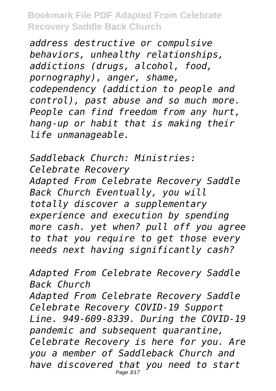*address destructive or compulsive behaviors, unhealthy relationships, addictions (drugs, alcohol, food, pornography), anger, shame, codependency (addiction to people and control), past abuse and so much more. People can find freedom from any hurt, hang-up or habit that is making their life unmanageable.*

*Saddleback Church: Ministries: Celebrate Recovery Adapted From Celebrate Recovery Saddle Back Church Eventually, you will totally discover a supplementary experience and execution by spending more cash. yet when? pull off you agree to that you require to get those every needs next having significantly cash?*

*Adapted From Celebrate Recovery Saddle Back Church Adapted From Celebrate Recovery Saddle Celebrate Recovery COVID-19 Support Line. 949-609-8339. During the COVID-19 pandemic and subsequent quarantine, Celebrate Recovery is here for you. Are you a member of Saddleback Church and have discovered that you need to start* Page 3/17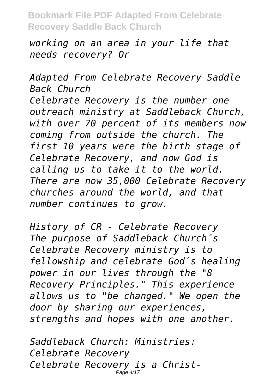*working on an area in your life that needs recovery? Or*

*Adapted From Celebrate Recovery Saddle Back Church Celebrate Recovery is the number one outreach ministry at Saddleback Church, with over 70 percent of its members now coming from outside the church. The first 10 years were the birth stage of Celebrate Recovery, and now God is calling us to take it to the world. There are now 35,000 Celebrate Recovery churches around the world, and that number continues to grow.*

*History of CR - Celebrate Recovery The purpose of Saddleback Church´s Celebrate Recovery ministry is to fellowship and celebrate God´s healing power in our lives through the "8 Recovery Principles." This experience allows us to "be changed." We open the door by sharing our experiences, strengths and hopes with one another.*

*Saddleback Church: Ministries: Celebrate Recovery Celebrate Recovery is a Christ-*Page 4/17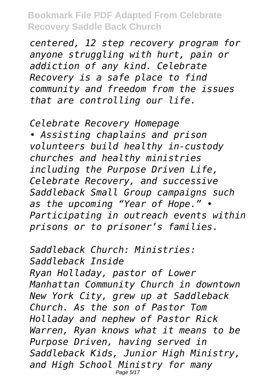*centered, 12 step recovery program for anyone struggling with hurt, pain or addiction of any kind. Celebrate Recovery is a safe place to find community and freedom from the issues that are controlling our life.*

*Celebrate Recovery Homepage • Assisting chaplains and prison volunteers build healthy in-custody churches and healthy ministries including the Purpose Driven Life, Celebrate Recovery, and successive Saddleback Small Group campaigns such as the upcoming "Year of Hope." • Participating in outreach events within prisons or to prisoner's families.*

*Saddleback Church: Ministries: Saddleback Inside Ryan Holladay, pastor of Lower Manhattan Community Church in downtown New York City, grew up at Saddleback Church. As the son of Pastor Tom Holladay and nephew of Pastor Rick Warren, Ryan knows what it means to be Purpose Driven, having served in Saddleback Kids, Junior High Ministry, and High School Ministry for many* Page 5/17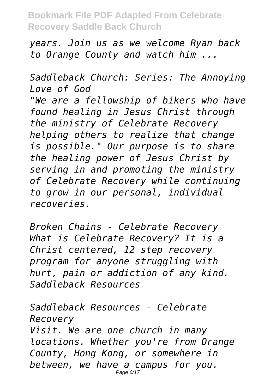*years. Join us as we welcome Ryan back to Orange County and watch him ...*

*Saddleback Church: Series: The Annoying Love of God "We are a fellowship of bikers who have found healing in Jesus Christ through the ministry of Celebrate Recovery helping others to realize that change is possible." Our purpose is to share the healing power of Jesus Christ by serving in and promoting the ministry of Celebrate Recovery while continuing to grow in our personal, individual recoveries.*

*Broken Chains - Celebrate Recovery What is Celebrate Recovery? It is a Christ centered, 12 step recovery program for anyone struggling with hurt, pain or addiction of any kind. Saddleback Resources*

*Saddleback Resources - Celebrate Recovery Visit. We are one church in many locations. Whether you're from Orange County, Hong Kong, or somewhere in between, we have a campus for you.* Page 6/17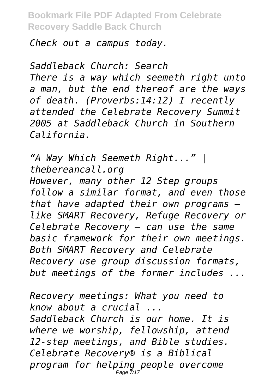#### *Check out a campus today.*

*Saddleback Church: Search There is a way which seemeth right unto a man, but the end thereof are the ways of death. (Proverbs:14:12) I recently attended the Celebrate Recovery Summit 2005 at Saddleback Church in Southern California.*

*"A Way Which Seemeth Right..." | thebereancall.org*

*However, many other 12 Step groups follow a similar format, and even those that have adapted their own programs like SMART Recovery, Refuge Recovery or Celebrate Recovery — can use the same basic framework for their own meetings. Both SMART Recovery and Celebrate Recovery use group discussion formats, but meetings of the former includes ...*

*Recovery meetings: What you need to know about a crucial ... Saddleback Church is our home. It is where we worship, fellowship, attend 12-step meetings, and Bible studies. Celebrate Recovery® is a Biblical program for helping people overcome* Page 7/17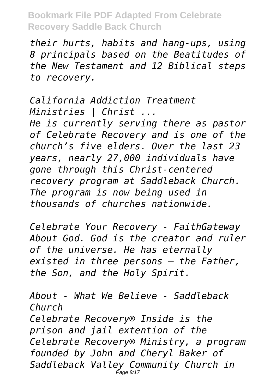*their hurts, habits and hang-ups, using 8 principals based on the Beatitudes of the New Testament and 12 Biblical steps to recovery.*

*California Addiction Treatment Ministries | Christ ... He is currently serving there as pastor of Celebrate Recovery and is one of the church's five elders. Over the last 23 years, nearly 27,000 individuals have gone through this Christ-centered recovery program at Saddleback Church. The program is now being used in thousands of churches nationwide.*

*Celebrate Your Recovery - FaithGateway About God. God is the creator and ruler of the universe. He has eternally existed in three persons – the Father, the Son, and the Holy Spirit.*

*About - What We Believe - Saddleback Church Celebrate Recovery® Inside is the prison and jail extention of the Celebrate Recovery® Ministry, a program founded by John and Cheryl Baker of Saddleback Valley Community Church in* Page 8/17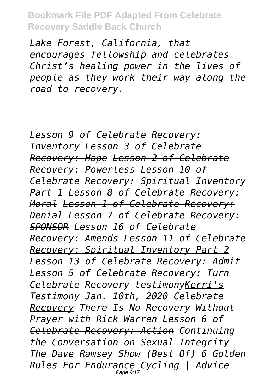*Lake Forest, California, that encourages fellowship and celebrates Christ's healing power in the lives of people as they work their way along the road to recovery.*

*Lesson 9 of Celebrate Recovery: Inventory Lesson 3 of Celebrate Recovery: Hope Lesson 2 of Celebrate Recovery: Powerless Lesson 10 of Celebrate Recovery: Spiritual Inventory Part 1 Lesson 8 of Celebrate Recovery: Moral Lesson 1 of Celebrate Recovery: Denial Lesson 7 of Celebrate Recovery: SPONSOR Lesson 16 of Celebrate Recovery: Amends Lesson 11 of Celebrate Recovery: Spiritual Inventory Part 2 Lesson 13 of Celebrate Recovery: Admit Lesson 5 of Celebrate Recovery: Turn Celebrate Recovery testimonyKerri's Testimony Jan. 10th, 2020 Celebrate Recovery There Is No Recovery Without Prayer with Rick Warren Lesson 6 of Celebrate Recovery: Action Continuing the Conversation on Sexual Integrity The Dave Ramsey Show (Best Of) 6 Golden Rules For Endurance Cycling | Advice* Page 9/17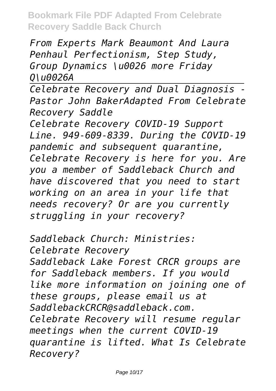*From Experts Mark Beaumont And Laura Penhaul Perfectionism, Step Study, Group Dynamics \u0026 more Friday Q\u0026A*

*Celebrate Recovery and Dual Diagnosis - Pastor John BakerAdapted From Celebrate Recovery Saddle*

*Celebrate Recovery COVID-19 Support Line. 949-609-8339. During the COVID-19 pandemic and subsequent quarantine, Celebrate Recovery is here for you. Are you a member of Saddleback Church and have discovered that you need to start working on an area in your life that needs recovery? Or are you currently struggling in your recovery?*

*Saddleback Church: Ministries: Celebrate Recovery Saddleback Lake Forest CRCR groups are for Saddleback members. If you would like more information on joining one of these groups, please email us at SaddlebackCRCR@saddleback.com. Celebrate Recovery will resume regular meetings when the current COVID-19 quarantine is lifted. What Is Celebrate Recovery?*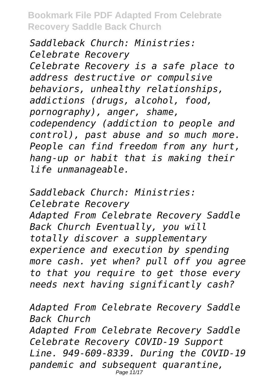*Saddleback Church: Ministries: Celebrate Recovery Celebrate Recovery is a safe place to address destructive or compulsive behaviors, unhealthy relationships, addictions (drugs, alcohol, food, pornography), anger, shame, codependency (addiction to people and control), past abuse and so much more. People can find freedom from any hurt, hang-up or habit that is making their life unmanageable.*

*Saddleback Church: Ministries: Celebrate Recovery Adapted From Celebrate Recovery Saddle Back Church Eventually, you will totally discover a supplementary experience and execution by spending more cash. yet when? pull off you agree to that you require to get those every needs next having significantly cash?*

*Adapted From Celebrate Recovery Saddle Back Church Adapted From Celebrate Recovery Saddle Celebrate Recovery COVID-19 Support Line. 949-609-8339. During the COVID-19 pandemic and subsequent quarantine,* Page 11/17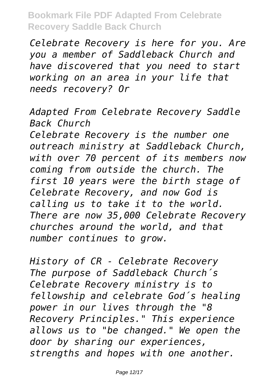*Celebrate Recovery is here for you. Are you a member of Saddleback Church and have discovered that you need to start working on an area in your life that needs recovery? Or*

*Adapted From Celebrate Recovery Saddle Back Church*

*Celebrate Recovery is the number one outreach ministry at Saddleback Church, with over 70 percent of its members now coming from outside the church. The first 10 years were the birth stage of Celebrate Recovery, and now God is calling us to take it to the world. There are now 35,000 Celebrate Recovery churches around the world, and that number continues to grow.*

*History of CR - Celebrate Recovery The purpose of Saddleback Church´s Celebrate Recovery ministry is to fellowship and celebrate God´s healing power in our lives through the "8 Recovery Principles." This experience allows us to "be changed." We open the door by sharing our experiences, strengths and hopes with one another.*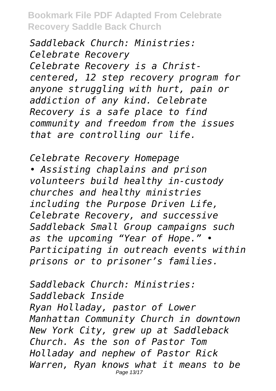*Saddleback Church: Ministries: Celebrate Recovery Celebrate Recovery is a Christcentered, 12 step recovery program for anyone struggling with hurt, pain or addiction of any kind. Celebrate Recovery is a safe place to find community and freedom from the issues that are controlling our life.*

*Celebrate Recovery Homepage • Assisting chaplains and prison volunteers build healthy in-custody churches and healthy ministries including the Purpose Driven Life, Celebrate Recovery, and successive Saddleback Small Group campaigns such as the upcoming "Year of Hope." • Participating in outreach events within prisons or to prisoner's families.*

*Saddleback Church: Ministries: Saddleback Inside Ryan Holladay, pastor of Lower Manhattan Community Church in downtown New York City, grew up at Saddleback Church. As the son of Pastor Tom Holladay and nephew of Pastor Rick Warren, Ryan knows what it means to be* Page 13/17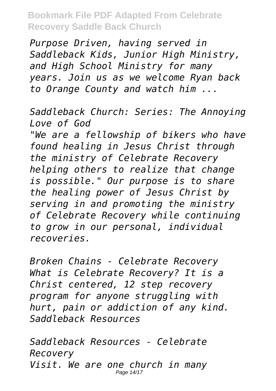*Purpose Driven, having served in Saddleback Kids, Junior High Ministry, and High School Ministry for many years. Join us as we welcome Ryan back to Orange County and watch him ...*

*Saddleback Church: Series: The Annoying Love of God*

*"We are a fellowship of bikers who have found healing in Jesus Christ through the ministry of Celebrate Recovery helping others to realize that change is possible." Our purpose is to share the healing power of Jesus Christ by serving in and promoting the ministry of Celebrate Recovery while continuing to grow in our personal, individual recoveries.*

*Broken Chains - Celebrate Recovery What is Celebrate Recovery? It is a Christ centered, 12 step recovery program for anyone struggling with hurt, pain or addiction of any kind. Saddleback Resources*

*Saddleback Resources - Celebrate Recovery Visit. We are one church in many* Page 14/17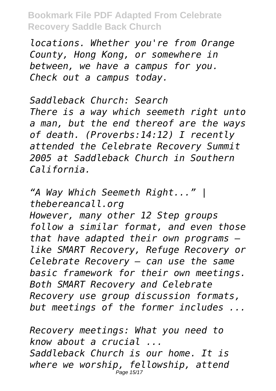*locations. Whether you're from Orange County, Hong Kong, or somewhere in between, we have a campus for you. Check out a campus today.*

*Saddleback Church: Search There is a way which seemeth right unto a man, but the end thereof are the ways of death. (Proverbs:14:12) I recently attended the Celebrate Recovery Summit 2005 at Saddleback Church in Southern California.*

*"A Way Which Seemeth Right..." | thebereancall.org However, many other 12 Step groups follow a similar format, and even those that have adapted their own programs like SMART Recovery, Refuge Recovery or Celebrate Recovery — can use the same basic framework for their own meetings. Both SMART Recovery and Celebrate Recovery use group discussion formats, but meetings of the former includes ...*

*Recovery meetings: What you need to know about a crucial ... Saddleback Church is our home. It is where we worship, fellowship, attend* Page 15/17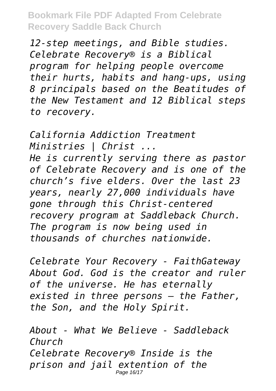*12-step meetings, and Bible studies. Celebrate Recovery® is a Biblical program for helping people overcome their hurts, habits and hang-ups, using 8 principals based on the Beatitudes of the New Testament and 12 Biblical steps to recovery.*

*California Addiction Treatment Ministries | Christ ... He is currently serving there as pastor of Celebrate Recovery and is one of the church's five elders. Over the last 23 years, nearly 27,000 individuals have gone through this Christ-centered recovery program at Saddleback Church. The program is now being used in thousands of churches nationwide.*

*Celebrate Your Recovery - FaithGateway About God. God is the creator and ruler of the universe. He has eternally existed in three persons – the Father, the Son, and the Holy Spirit.*

*About - What We Believe - Saddleback Church Celebrate Recovery® Inside is the prison and jail extention of the* Page 16/17